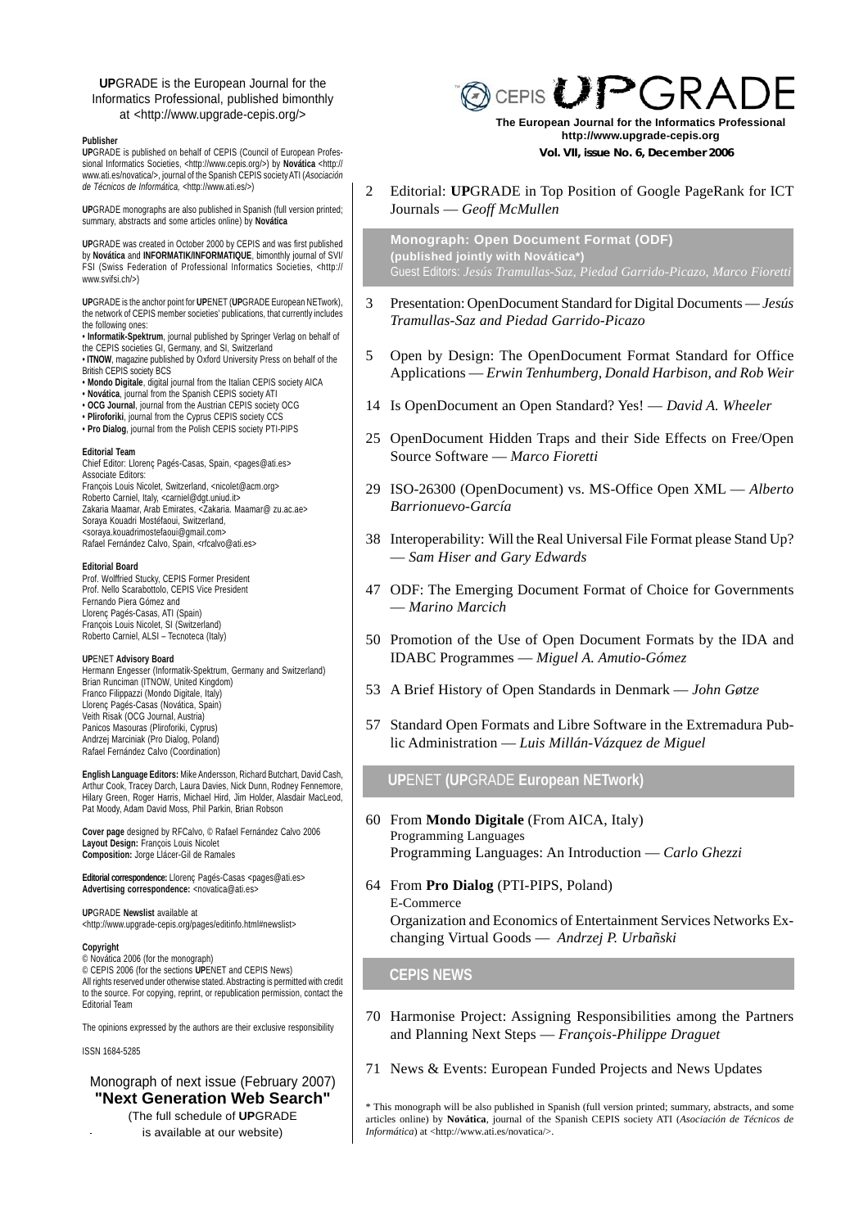#### **UP**GRADE is the European Journal for the Informatics Professional, published bimonthly at <http://www.upgrade-cepis.org/>

#### **Publisher**

**UP**GRADE is published on behalf of CEPIS (Council of European Professional Informatics Societies, <http://www.cepis.org/>) by **Novática** <http:// www.ati.es/novatica/>, journal of the Spanish CEPIS society ATI (*Asociación de Técnicos de Informática,* <http://www.ati.es/>)

**UP**GRADE monographs are also published in Spanish (full version printed; summary, abstracts and some articles online) by **Novática**

**UP**GRADE was created in October 2000 by CEPIS and was first published by **Novática** and **INFORMATIK/INFORMATIQUE**, bimonthly journal of SVI/ FSI (Swiss Federation of Professional Informatics Societies, <http:// www.svifsi.ch/>)

**UP**GRADE is the anchor point for **UP**ENET (**UP**GRADE European NETwork), the network of CEPIS member societies' publications, that currently includes the following ones:

- **Informatik-Spektrum**, journal published by Springer Verlag on behalf of the CEPIS societies GI, Germany, and SI, Switzerland • **ITNOW**, magazine published by Oxford University Press on behalf of the
- British CEPIS society BCS • **Mondo Digitale**, digital journal from the Italian CEPIS society AICA
- **Novática**, journal from the Spanish CEPIS society ATI
- **OCG Journal**, journal from the Austrian CEPIS society OCG
- **Pliroforiki**, journal from the Cyprus CEPIS society CCS
- **Pro Dialog**, journal from the Polish CEPIS society PTI-PIPS

#### **Editorial Team**

Chief Editor: Llorenç Pagés-Casas, Spain, <pages@ati.es> Associate Editors: François Louis Nicolet, Switzerland, <nicolet@acm.org> Roberto Carniel, Italy, <carniel@dgt.uniud.it> Zakaria Maamar, Arab Emirates, <Zakaria. Maamar@ zu.ac.ae> Soraya Kouadri Mostéfaoui, Switzerland, <soraya.kouadrimostefaoui@gmail.com> Rafael Fernández Calvo, Spain, <rfcalvo@ati.es>

**Editorial Board** Prof. Wolffried Stucky, CEPIS Former President Prof. Nello Scarabottolo, CEPIS Vice President Fernando Piera Gómez and Llorenç Pagés-Casas, ATI (Spain) François Louis Nicolet, SI (Switzerland) Roberto Carniel, ALSI – Tecnoteca (Italy)

#### **UP**ENET **Advisory Board**

Hermann Engesser (Informatik-Spektrum, Germany and Switzerland) Brian Runciman (ITNOW, United Kingdom) Franco Filippazzi (Mondo Digitale, Italy) Llorenç Pagés-Casas (Novática, Spain) Veith Risak (OCG Journal, Austria) Panicos Masouras (Pliroforiki, Cyprus) Andrzej Marciniak (Pro Dialog, Poland) Rafael Fernández Calvo (Coordination)

**English Language Editors:** Mike Andersson, Richard Butchart, David Cash, Arthur Cook, Tracey Darch, Laura Davies, Nick Dunn, Rodney Fennemore, Hilary Green, Roger Harris, Michael Hird, Jim Holder, Alasdair MacLeod, Pat Moody, Adam David Moss, Phil Parkin, Brian Robson

**Cover page** designed by RFCalvo, © Rafael Fernández Calvo 2006 **Layout Design:** François Louis Nicolet **Composition:** Jorge Llácer-Gil de Ramales

Editorial correspondence: Llorenc Pagés-Casas <pages@ati.es> **Advertising correspondence:** <novatica@ati.es>

**UP**GRADE **Newslist** available at <http://www.upgrade-cepis.org/pages/editinfo.html#newslist>

#### **Copyright**

© Novática 2006 (for the monograph) © CEPIS 2006 (for the sections **UP**ENET and CEPIS News) All rights reserved under otherwise stated. Abstracting is permitted with credit to the source. For copying, reprint, or republication permission, contact the Editorial Team

The opinions expressed by the authors are their exclusive responsibility

ISSN 1684-5285

# Monograph of next issue (February 2007) **"Next Generation Web Search"**

(The full schedule of **UP**GRADE

is available at our website)

# **@CEPIS UPGRA**

 **Vol. VII, issue No. 6, December 2006 The European Journal for the Informatics Professional http://www.upgrade-cepis.org**

#### 2 Editorial: **UP**GRADE in Top Position of Google PageRank for ICT Journals — *Geoff McMullen*

**Monograph: Open Document Format (ODF) (published jointly with Novática\*)**

- 3 Presentation: OpenDocument Standard for Digital Documents *Jesús Tramullas-Saz and Piedad Garrido-Picazo*
- 5 Open by Design: The OpenDocument Format Standard for Office Applications — *Erwin Tenhumberg, Donald Harbison, and Rob Weir*
- 14 Is OpenDocument an Open Standard? Yes! *David A. Wheeler*
- 25 OpenDocument Hidden Traps and their Side Effects on Free/Open Source Software — *Marco Fioretti*
- 29 ISO-26300 (OpenDocument) vs. MS-Office Open XML *Alberto Barrionuevo-García*
- 38 Interoperability: Will the Real Universal File Format please Stand Up? — *Sam Hiser and Gary Edwards*
- 47 ODF: The Emerging Document Format of Choice for Governments — *Marino Marcich*
- 50 Promotion of the Use of Open Document Formats by the IDA and IDABC Programmes — *Miguel A. Amutio-Gómez*
- 53 A Brief History of Open Standards in Denmark *John Gøtze*
- 57 Standard Open Formats and Libre Software in the Extremadura Public Administration — *Luis Millán-Vázquez de Miguel*

#### **UP**ENET **(UP**GRADE **European NETwork)**

- 60 From **Mondo Digitale** (From AICA, Italy) Programming Languages Programming Languages: An Introduction — *Carlo Ghezzi*
- 64 From **Pro Dialog** (PTI-PIPS, Poland) E-Commerce Organization and Economics of Entertainment Services Networks Exchanging Virtual Goods — *Andrzej P. Urbañski*

#### **CEPIS NEWS**

- 70 Harmonise Project: Assigning Responsibilities among the Partners and Planning Next Steps — *François-Philippe Draguet*
- 71 News & Events: European Funded Projects and News Updates

<sup>\*</sup> This monograph will be also published in Spanish (full version printed; summary, abstracts, and some articles online) by **Novática**, journal of the Spanish CEPIS society ATI (*Asociación de Técnicos de Informática*) at <http://www.ati.es/novatica/>.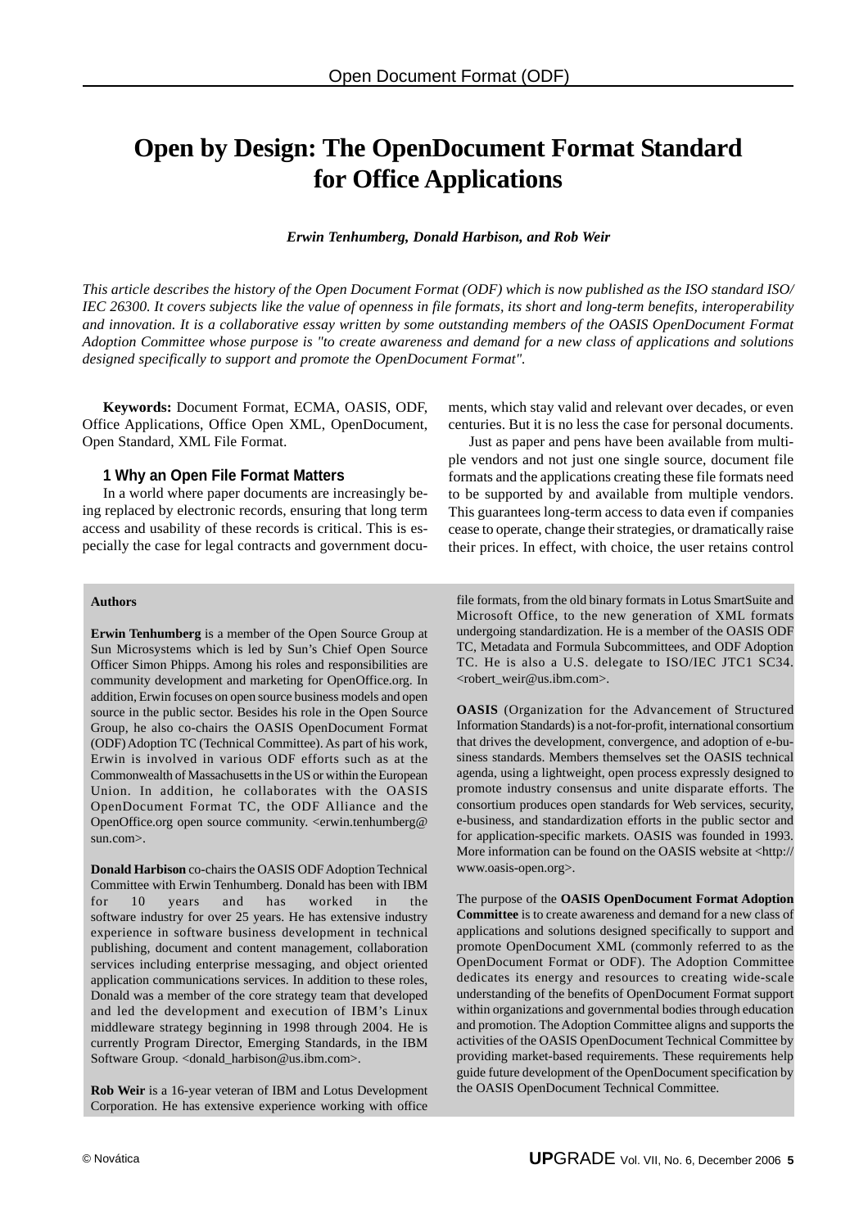# **Open by Design: The OpenDocument Format Standard for Office Applications**

*Erwin Tenhumberg, Donald Harbison, and Rob Weir*

*This article describes the history of the Open Document Format (ODF) which is now published as the ISO standard ISO/ IEC 26300. It covers subjects like the value of openness in file formats, its short and long-term benefits, interoperability and innovation. It is a collaborative essay written by some outstanding members of the OASIS OpenDocument Format Adoption Committee whose purpose is "to create awareness and demand for a new class of applications and solutions designed specifically to support and promote the OpenDocument Format".*

**Keywords:** Document Format, ECMA, OASIS, ODF, Office Applications, Office Open XML, OpenDocument, Open Standard, XML File Format.

#### **1 Why an Open File Format Matters**

In a world where paper documents are increasingly being replaced by electronic records, ensuring that long term access and usability of these records is critical. This is especially the case for legal contracts and government docu-

ments, which stay valid and relevant over decades, or even centuries. But it is no less the case for personal documents.

Just as paper and pens have been available from multiple vendors and not just one single source, document file formats and the applications creating these file formats need to be supported by and available from multiple vendors. This guarantees long-term access to data even if companies cease to operate, change their strategies, or dramatically raise their prices. In effect, with choice, the user retains control

#### **Authors**

**Erwin Tenhumberg** is a member of the Open Source Group at Sun Microsystems which is led by Sun's Chief Open Source Officer Simon Phipps. Among his roles and responsibilities are community development and marketing for OpenOffice.org. In addition, Erwin focuses on open source business models and open source in the public sector. Besides his role in the Open Source Group, he also co-chairs the OASIS OpenDocument Format (ODF) Adoption TC (Technical Committee). As part of his work, Erwin is involved in various ODF efforts such as at the Commonwealth of Massachusetts in the US or within the European Union. In addition, he collaborates with the OASIS OpenDocument Format TC, the ODF Alliance and the OpenOffice.org open source community. <erwin.tenhumberg@ sun.com>.

**Donald Harbison** co-chairs the OASIS ODF Adoption Technical Committee with Erwin Tenhumberg. Donald has been with IBM<br>for 10 vears and has worked in the for 10 years and has worked in the software industry for over 25 years. He has extensive industry experience in software business development in technical publishing, document and content management, collaboration services including enterprise messaging, and object oriented application communications services. In addition to these roles, Donald was a member of the core strategy team that developed and led the development and execution of IBM's Linux middleware strategy beginning in 1998 through 2004. He is currently Program Director, Emerging Standards, in the IBM Software Group. <donald\_harbison@us.ibm.com>.

**Rob Weir** is a 16-year veteran of IBM and Lotus Development Corporation. He has extensive experience working with office

file formats, from the old binary formats in Lotus SmartSuite and Microsoft Office, to the new generation of XML formats undergoing standardization. He is a member of the OASIS ODF TC, Metadata and Formula Subcommittees, and ODF Adoption TC. He is also a U.S. delegate to ISO/IEC JTC1 SC34. <robert\_weir@us.ibm.com>.

**OASIS** (Organization for the Advancement of Structured Information Standards) is a not-for-profit, international consortium that drives the development, convergence, and adoption of e-business standards. Members themselves set the OASIS technical agenda, using a lightweight, open process expressly designed to promote industry consensus and unite disparate efforts. The consortium produces open standards for Web services, security, e-business, and standardization efforts in the public sector and for application-specific markets. OASIS was founded in 1993. More information can be found on the OASIS website at <http:// www.oasis-open.org>.

The purpose of the **OASIS OpenDocument Format Adoption Committee** is to create awareness and demand for a new class of applications and solutions designed specifically to support and promote OpenDocument XML (commonly referred to as the OpenDocument Format or ODF). The Adoption Committee dedicates its energy and resources to creating wide-scale understanding of the benefits of OpenDocument Format support within organizations and governmental bodies through education and promotion. The Adoption Committee aligns and supports the activities of the OASIS OpenDocument Technical Committee by providing market-based requirements. These requirements help guide future development of the OpenDocument specification by the OASIS OpenDocument Technical Committee.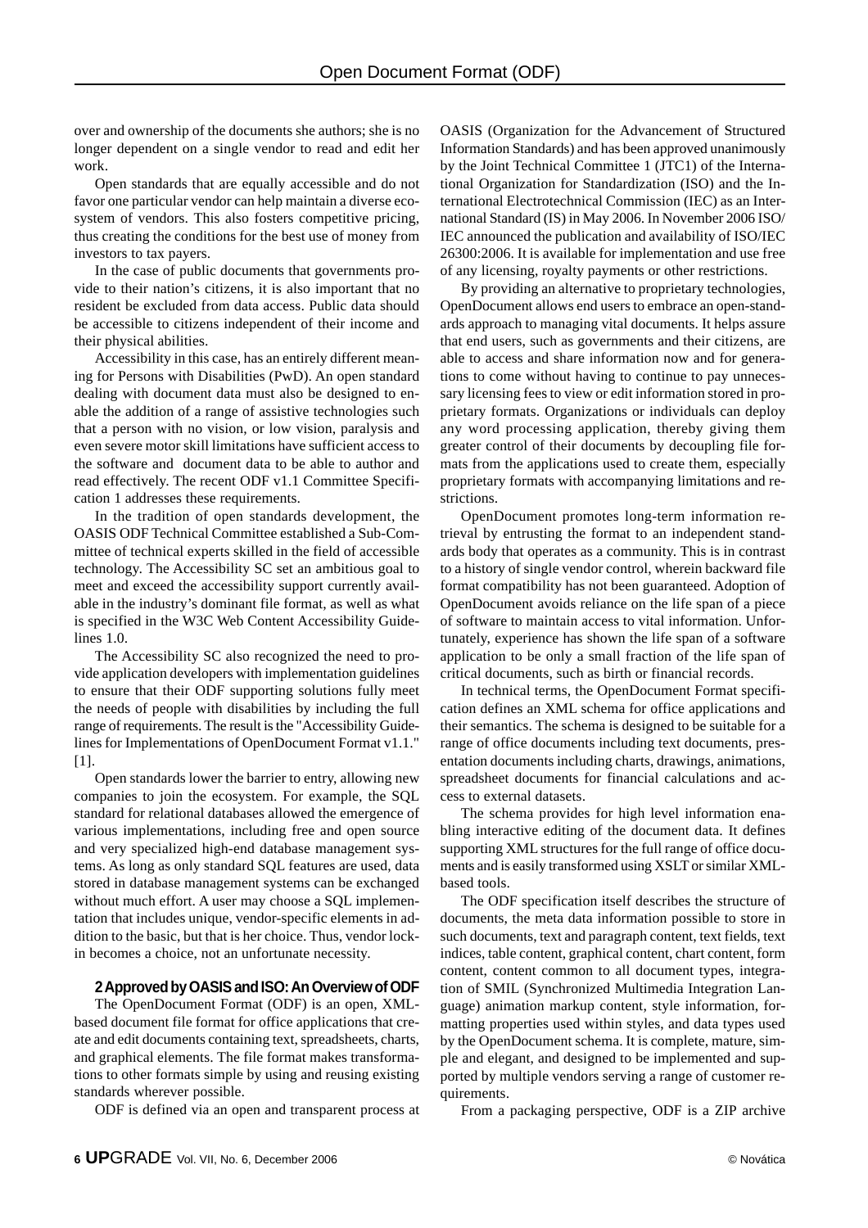over and ownership of the documents she authors; she is no longer dependent on a single vendor to read and edit her work.

Open standards that are equally accessible and do not favor one particular vendor can help maintain a diverse ecosystem of vendors. This also fosters competitive pricing, thus creating the conditions for the best use of money from investors to tax payers.

In the case of public documents that governments provide to their nation's citizens, it is also important that no resident be excluded from data access. Public data should be accessible to citizens independent of their income and their physical abilities.

Accessibility in this case, has an entirely different meaning for Persons with Disabilities (PwD). An open standard dealing with document data must also be designed to enable the addition of a range of assistive technologies such that a person with no vision, or low vision, paralysis and even severe motor skill limitations have sufficient access to the software and document data to be able to author and read effectively. The recent ODF v1.1 Committee Specification 1 addresses these requirements.

In the tradition of open standards development, the OASIS ODF Technical Committee established a Sub-Committee of technical experts skilled in the field of accessible technology. The Accessibility SC set an ambitious goal to meet and exceed the accessibility support currently available in the industry's dominant file format, as well as what is specified in the W3C Web Content Accessibility Guidelines 1.0.

The Accessibility SC also recognized the need to provide application developers with implementation guidelines to ensure that their ODF supporting solutions fully meet the needs of people with disabilities by including the full range of requirements. The result is the "Accessibility Guidelines for Implementations of OpenDocument Format v1.1." [1].

Open standards lower the barrier to entry, allowing new companies to join the ecosystem. For example, the SQL standard for relational databases allowed the emergence of various implementations, including free and open source and very specialized high-end database management systems. As long as only standard SQL features are used, data stored in database management systems can be exchanged without much effort. A user may choose a SQL implementation that includes unique, vendor-specific elements in addition to the basic, but that is her choice. Thus, vendor lockin becomes a choice, not an unfortunate necessity.

#### **2 Approved by OASIS and ISO: An Overview of ODF**

The OpenDocument Format (ODF) is an open, XMLbased document file format for office applications that create and edit documents containing text, spreadsheets, charts, and graphical elements. The file format makes transformations to other formats simple by using and reusing existing standards wherever possible.

ODF is defined via an open and transparent process at

OASIS (Organization for the Advancement of Structured Information Standards) and has been approved unanimously by the Joint Technical Committee 1 (JTC1) of the International Organization for Standardization (ISO) and the International Electrotechnical Commission (IEC) as an International Standard (IS) in May 2006. In November 2006 ISO/ IEC announced the publication and availability of ISO/IEC 26300:2006. It is available for implementation and use free of any licensing, royalty payments or other restrictions.

By providing an alternative to proprietary technologies, OpenDocument allows end users to embrace an open-standards approach to managing vital documents. It helps assure that end users, such as governments and their citizens, are able to access and share information now and for generations to come without having to continue to pay unnecessary licensing fees to view or edit information stored in proprietary formats. Organizations or individuals can deploy any word processing application, thereby giving them greater control of their documents by decoupling file formats from the applications used to create them, especially proprietary formats with accompanying limitations and restrictions.

OpenDocument promotes long-term information retrieval by entrusting the format to an independent standards body that operates as a community. This is in contrast to a history of single vendor control, wherein backward file format compatibility has not been guaranteed. Adoption of OpenDocument avoids reliance on the life span of a piece of software to maintain access to vital information. Unfortunately, experience has shown the life span of a software application to be only a small fraction of the life span of critical documents, such as birth or financial records.

In technical terms, the OpenDocument Format specification defines an XML schema for office applications and their semantics. The schema is designed to be suitable for a range of office documents including text documents, presentation documents including charts, drawings, animations, spreadsheet documents for financial calculations and access to external datasets.

The schema provides for high level information enabling interactive editing of the document data. It defines supporting XML structures for the full range of office documents and is easily transformed using XSLT or similar XMLbased tools.

The ODF specification itself describes the structure of documents, the meta data information possible to store in such documents, text and paragraph content, text fields, text indices, table content, graphical content, chart content, form content, content common to all document types, integration of SMIL (Synchronized Multimedia Integration Language) animation markup content, style information, formatting properties used within styles, and data types used by the OpenDocument schema. It is complete, mature, simple and elegant, and designed to be implemented and supported by multiple vendors serving a range of customer requirements.

From a packaging perspective, ODF is a ZIP archive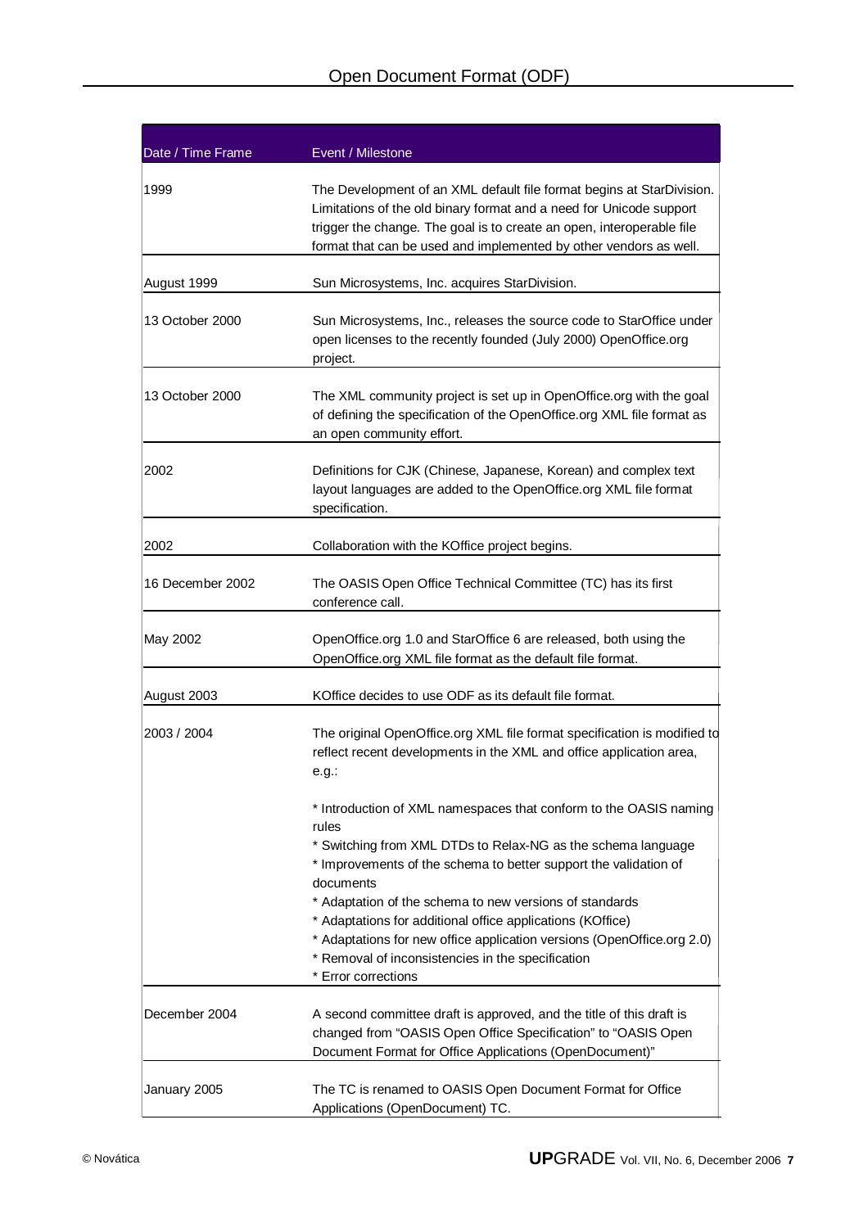| Date / Time Frame | Event / Milestone                                                                                                                                                                                                                                                                                                                                                                                                                                                                                          |  |
|-------------------|------------------------------------------------------------------------------------------------------------------------------------------------------------------------------------------------------------------------------------------------------------------------------------------------------------------------------------------------------------------------------------------------------------------------------------------------------------------------------------------------------------|--|
| 1999              | The Development of an XML default file format begins at StarDivision.<br>Limitations of the old binary format and a need for Unicode support<br>trigger the change. The goal is to create an open, interoperable file<br>format that can be used and implemented by other vendors as well.                                                                                                                                                                                                                 |  |
| August 1999       | Sun Microsystems, Inc. acquires StarDivision.                                                                                                                                                                                                                                                                                                                                                                                                                                                              |  |
| 13 October 2000   | Sun Microsystems, Inc., releases the source code to StarOffice under<br>open licenses to the recently founded (July 2000) OpenOffice.org<br>project.                                                                                                                                                                                                                                                                                                                                                       |  |
| 13 October 2000   | The XML community project is set up in OpenOffice.org with the goal<br>of defining the specification of the OpenOffice.org XML file format as<br>an open community effort.                                                                                                                                                                                                                                                                                                                                 |  |
| 2002              | Definitions for CJK (Chinese, Japanese, Korean) and complex text<br>layout languages are added to the OpenOffice.org XML file format<br>specification.                                                                                                                                                                                                                                                                                                                                                     |  |
| 2002              | Collaboration with the KOffice project begins.                                                                                                                                                                                                                                                                                                                                                                                                                                                             |  |
| 16 December 2002  | The OASIS Open Office Technical Committee (TC) has its first<br>conference call.                                                                                                                                                                                                                                                                                                                                                                                                                           |  |
| May 2002          | OpenOffice.org 1.0 and StarOffice 6 are released, both using the<br>OpenOffice.org XML file format as the default file format.                                                                                                                                                                                                                                                                                                                                                                             |  |
| August 2003       | KOffice decides to use ODF as its default file format.                                                                                                                                                                                                                                                                                                                                                                                                                                                     |  |
| 2003 / 2004       | The original OpenOffice.org XML file format specification is modified to<br>reflect recent developments in the XML and office application area,<br>$e.g.$ :                                                                                                                                                                                                                                                                                                                                                |  |
|                   | * Introduction of XML namespaces that conform to the OASIS naming<br>rules<br>* Switching from XML DTDs to Relax-NG as the schema language<br>* Improvements of the schema to better support the validation of<br>documents<br>* Adaptation of the schema to new versions of standards<br>* Adaptations for additional office applications (KOffice)<br>* Adaptations for new office application versions (OpenOffice.org 2.0)<br>* Removal of inconsistencies in the specification<br>* Error corrections |  |
|                   |                                                                                                                                                                                                                                                                                                                                                                                                                                                                                                            |  |
| December 2004     | A second committee draft is approved, and the title of this draft is<br>changed from "OASIS Open Office Specification" to "OASIS Open<br>Document Format for Office Applications (OpenDocument)"                                                                                                                                                                                                                                                                                                           |  |
| January 2005      | The TC is renamed to OASIS Open Document Format for Office<br>Applications (OpenDocument) TC.                                                                                                                                                                                                                                                                                                                                                                                                              |  |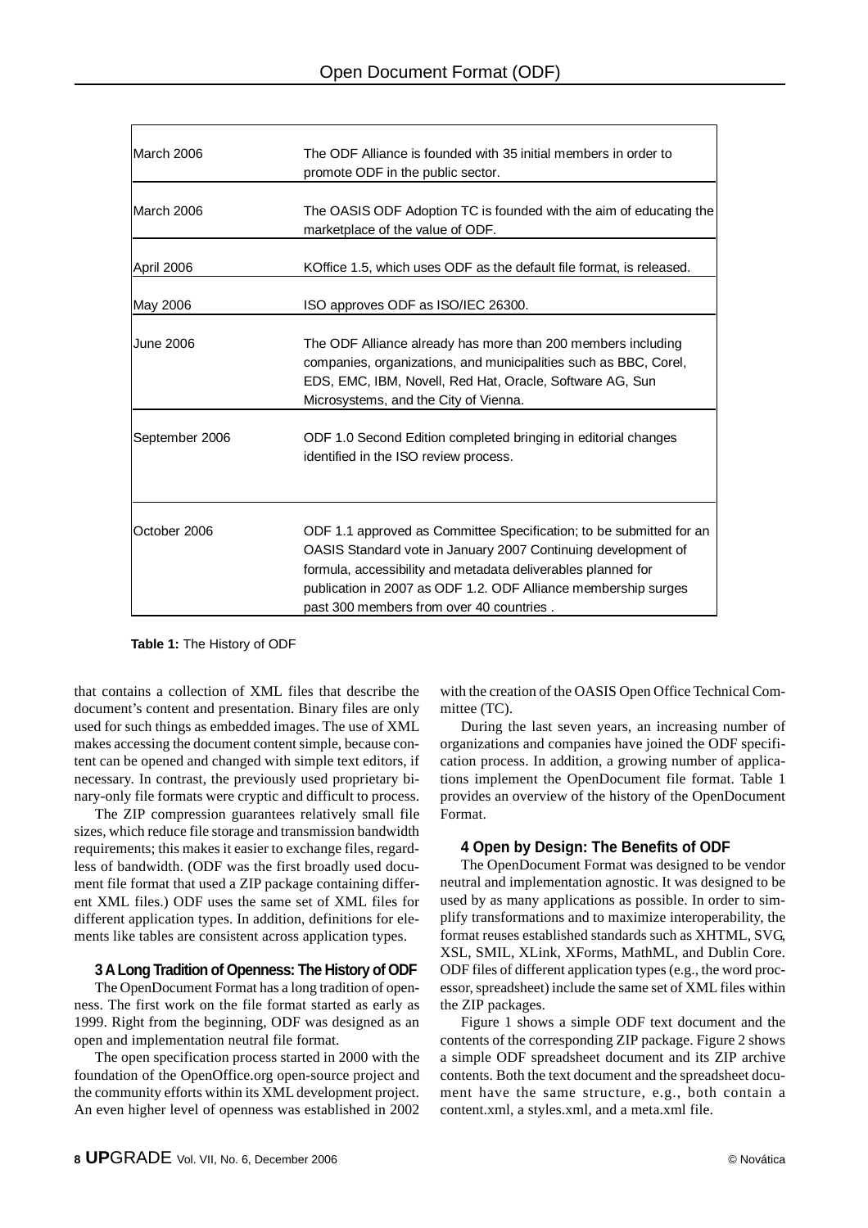| March 2006       | The ODF Alliance is founded with 35 initial members in order to<br>promote ODF in the public sector.                                                                                                                                                                                                               |  |
|------------------|--------------------------------------------------------------------------------------------------------------------------------------------------------------------------------------------------------------------------------------------------------------------------------------------------------------------|--|
| March 2006       | The OASIS ODF Adoption TC is founded with the aim of educating the<br>marketplace of the value of ODF.                                                                                                                                                                                                             |  |
| April 2006       | KOffice 1.5, which uses ODF as the default file format, is released.                                                                                                                                                                                                                                               |  |
| May 2006         | ISO approves ODF as ISO/IEC 26300.                                                                                                                                                                                                                                                                                 |  |
| <b>June 2006</b> | The ODF Alliance already has more than 200 members including<br>companies, organizations, and municipalities such as BBC, Corel,<br>EDS, EMC, IBM, Novell, Red Hat, Oracle, Software AG, Sun<br>Microsystems, and the City of Vienna.                                                                              |  |
| September 2006   | ODF 1.0 Second Edition completed bringing in editorial changes<br>identified in the ISO review process.                                                                                                                                                                                                            |  |
| October 2006     | ODF 1.1 approved as Committee Specification; to be submitted for an<br>OASIS Standard vote in January 2007 Continuing development of<br>formula, accessibility and metadata deliverables planned for<br>publication in 2007 as ODF 1.2. ODF Alliance membership surges<br>past 300 members from over 40 countries. |  |

**Table 1:** The History of ODF

that contains a collection of XML files that describe the document's content and presentation. Binary files are only used for such things as embedded images. The use of XML makes accessing the document content simple, because content can be opened and changed with simple text editors, if necessary. In contrast, the previously used proprietary binary-only file formats were cryptic and difficult to process.

The ZIP compression guarantees relatively small file sizes, which reduce file storage and transmission bandwidth requirements; this makes it easier to exchange files, regardless of bandwidth. (ODF was the first broadly used document file format that used a ZIP package containing different XML files.) ODF uses the same set of XML files for different application types. In addition, definitions for elements like tables are consistent across application types.

# **3 A Long Tradition of Openness: The History of ODF**

The OpenDocument Format has a long tradition of openness. The first work on the file format started as early as 1999. Right from the beginning, ODF was designed as an open and implementation neutral file format.

The open specification process started in 2000 with the foundation of the OpenOffice.org open-source project and the community efforts within its XML development project. An even higher level of openness was established in 2002

with the creation of the OASIS Open Office Technical Committee (TC).

During the last seven years, an increasing number of organizations and companies have joined the ODF specification process. In addition, a growing number of applications implement the OpenDocument file format. Table 1 provides an overview of the history of the OpenDocument Format.

# **4 Open by Design: The Benefits of ODF**

The OpenDocument Format was designed to be vendor neutral and implementation agnostic. It was designed to be used by as many applications as possible. In order to simplify transformations and to maximize interoperability, the format reuses established standards such as XHTML, SVG, XSL, SMIL, XLink, XForms, MathML, and Dublin Core. ODF files of different application types (e.g., the word processor, spreadsheet) include the same set of XML files within the ZIP packages.

Figure 1 shows a simple ODF text document and the contents of the corresponding ZIP package. Figure 2 shows a simple ODF spreadsheet document and its ZIP archive contents. Both the text document and the spreadsheet document have the same structure, e.g., both contain a content.xml, a styles.xml, and a meta.xml file.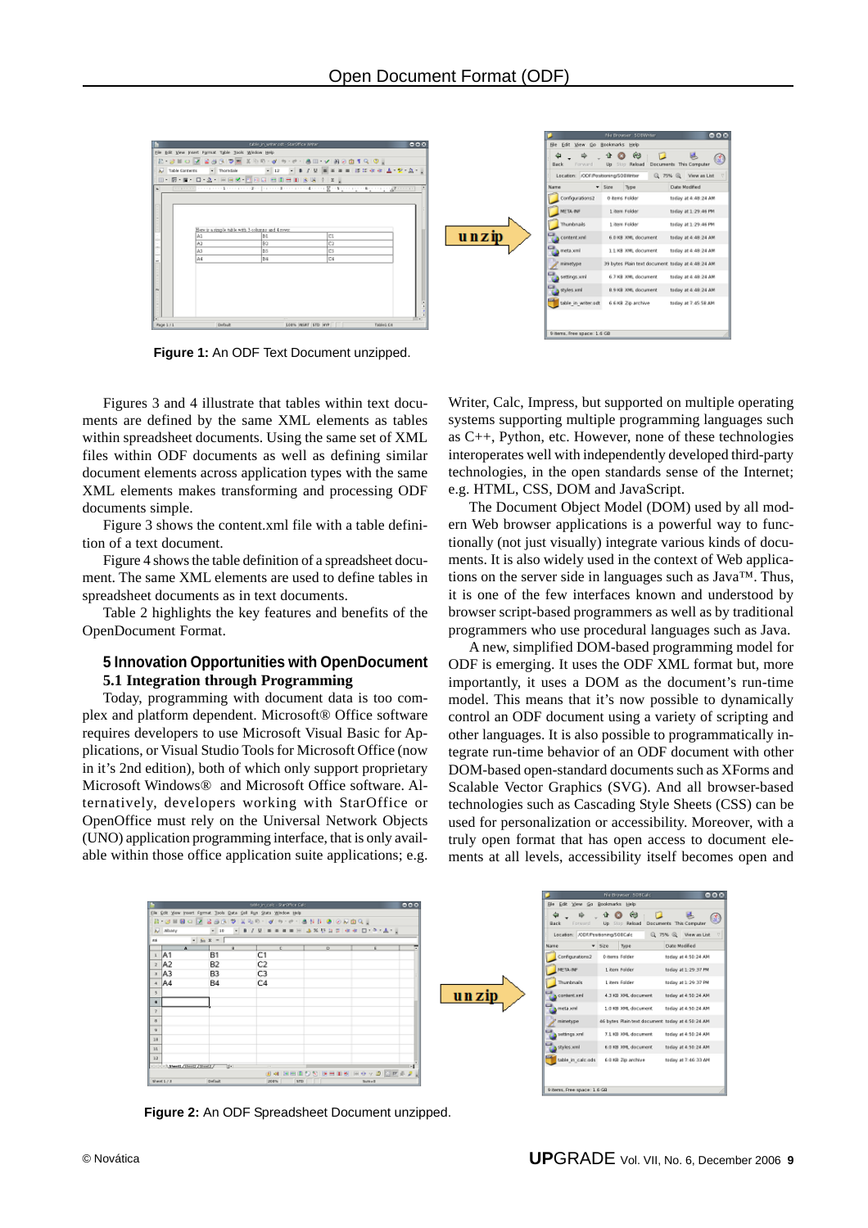

**Figure 1:** An ODF Text Document unzipped.

Figures 3 and 4 illustrate that tables within text documents are defined by the same XML elements as tables within spreadsheet documents. Using the same set of XML files within ODF documents as well as defining similar document elements across application types with the same XML elements makes transforming and processing ODF documents simple.

Figure 3 shows the content.xml file with a table definition of a text document.

Figure 4 shows the table definition of a spreadsheet document. The same XML elements are used to define tables in spreadsheet documents as in text documents.

Table 2 highlights the key features and benefits of the OpenDocument Format.

#### **5 Innovation Opportunities with OpenDocument 5.1 Integration through Programming**

Today, programming with document data is too complex and platform dependent. Microsoft® Office software requires developers to use Microsoft Visual Basic for Applications, or Visual Studio Tools for Microsoft Office (now in it's 2nd edition), both of which only support proprietary Microsoft Windows® and Microsoft Office software. Alternatively, developers working with StarOffice or OpenOffice must rely on the Universal Network Objects (UNO) application programming interface, that is only available within those office application suite applications; e.g. Writer, Calc, Impress, but supported on multiple operating systems supporting multiple programming languages such as C++, Python, etc. However, none of these technologies interoperates well with independently developed third-party technologies, in the open standards sense of the Internet; e.g. HTML, CSS, DOM and JavaScript.

The Document Object Model (DOM) used by all modern Web browser applications is a powerful way to functionally (not just visually) integrate various kinds of documents. It is also widely used in the context of Web applications on the server side in languages such as Java™. Thus, it is one of the few interfaces known and understood by browser script-based programmers as well as by traditional programmers who use procedural languages such as Java.

A new, simplified DOM-based programming model for ODF is emerging. It uses the ODF XML format but, more importantly, it uses a DOM as the document's run-time model. This means that it's now possible to dynamically control an ODF document using a variety of scripting and other languages. It is also possible to programmatically integrate run-time behavior of an ODF document with other DOM-based open-standard documents such as XForms and Scalable Vector Graphics (SVG). And all browser-based technologies such as Cascading Style Sheets (CSS) can be used for personalization or accessibility. Moreover, with a truly open format that has open access to document elements at all levels, accessibility itself becomes open and



**Figure 2:** An ODF Spreadsheet Document unzipped.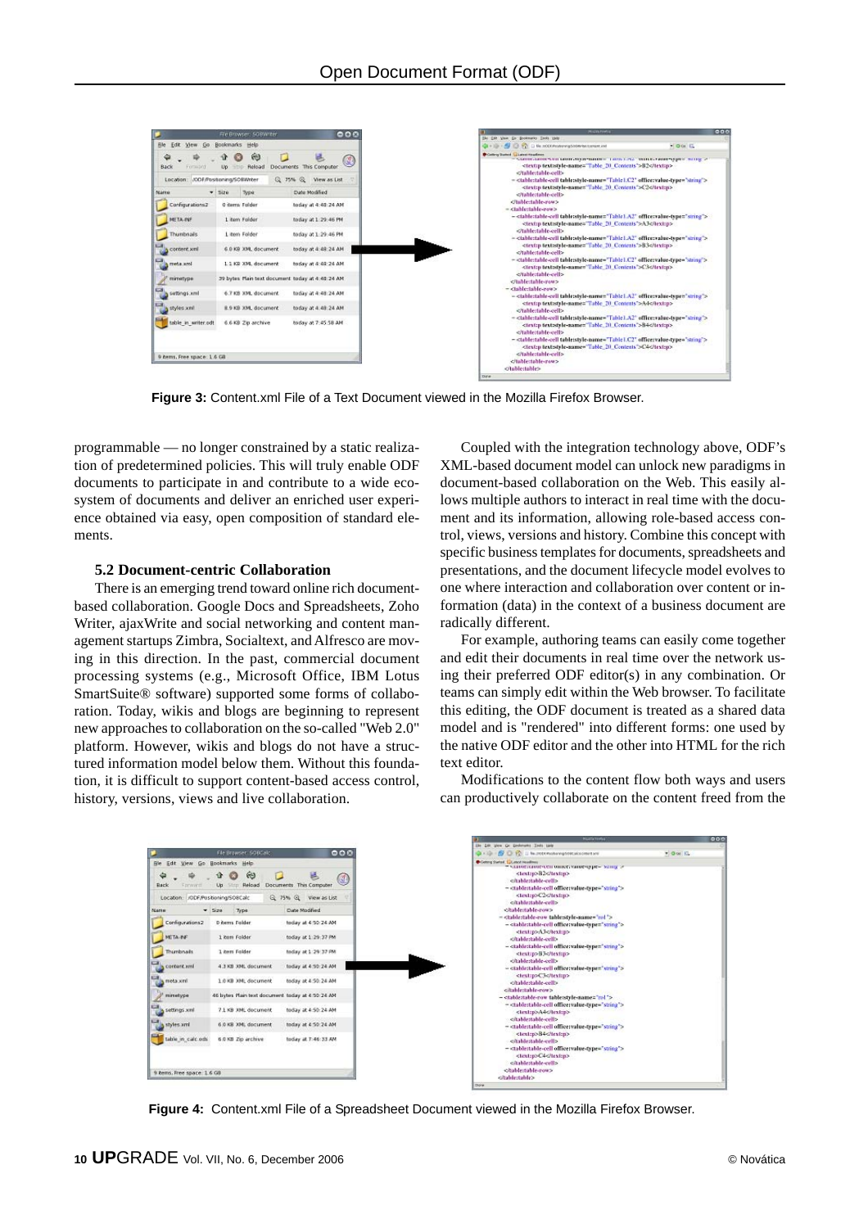

**Figure 3:** Content.xml File of a Text Document viewed in the Mozilla Firefox Browser.

programmable — no longer constrained by a static realization of predetermined policies. This will truly enable ODF documents to participate in and contribute to a wide ecosystem of documents and deliver an enriched user experience obtained via easy, open composition of standard elements.

#### **5.2 Document-centric Collaboration**

There is an emerging trend toward online rich documentbased collaboration. Google Docs and Spreadsheets, Zoho Writer, ajaxWrite and social networking and content management startups Zimbra, Socialtext, and Alfresco are moving in this direction. In the past, commercial document processing systems (e.g., Microsoft Office, IBM Lotus SmartSuite® software) supported some forms of collaboration. Today, wikis and blogs are beginning to represent new approaches to collaboration on the so-called "Web 2.0" platform. However, wikis and blogs do not have a structured information model below them. Without this foundation, it is difficult to support content-based access control, history, versions, views and live collaboration.

Coupled with the integration technology above, ODF's XML-based document model can unlock new paradigms in document-based collaboration on the Web. This easily allows multiple authors to interact in real time with the document and its information, allowing role-based access control, views, versions and history. Combine this concept with specific business templates for documents, spreadsheets and presentations, and the document lifecycle model evolves to one where interaction and collaboration over content or information (data) in the context of a business document are radically different.

For example, authoring teams can easily come together and edit their documents in real time over the network using their preferred ODF editor(s) in any combination. Or teams can simply edit within the Web browser. To facilitate this editing, the ODF document is treated as a shared data model and is "rendered" into different forms: one used by the native ODF editor and the other into HTML for the rich text editor.

Modifications to the content flow both ways and users can productively collaborate on the content freed from the



**Figure 4:** Content.xml File of a Spreadsheet Document viewed in the Mozilla Firefox Browser.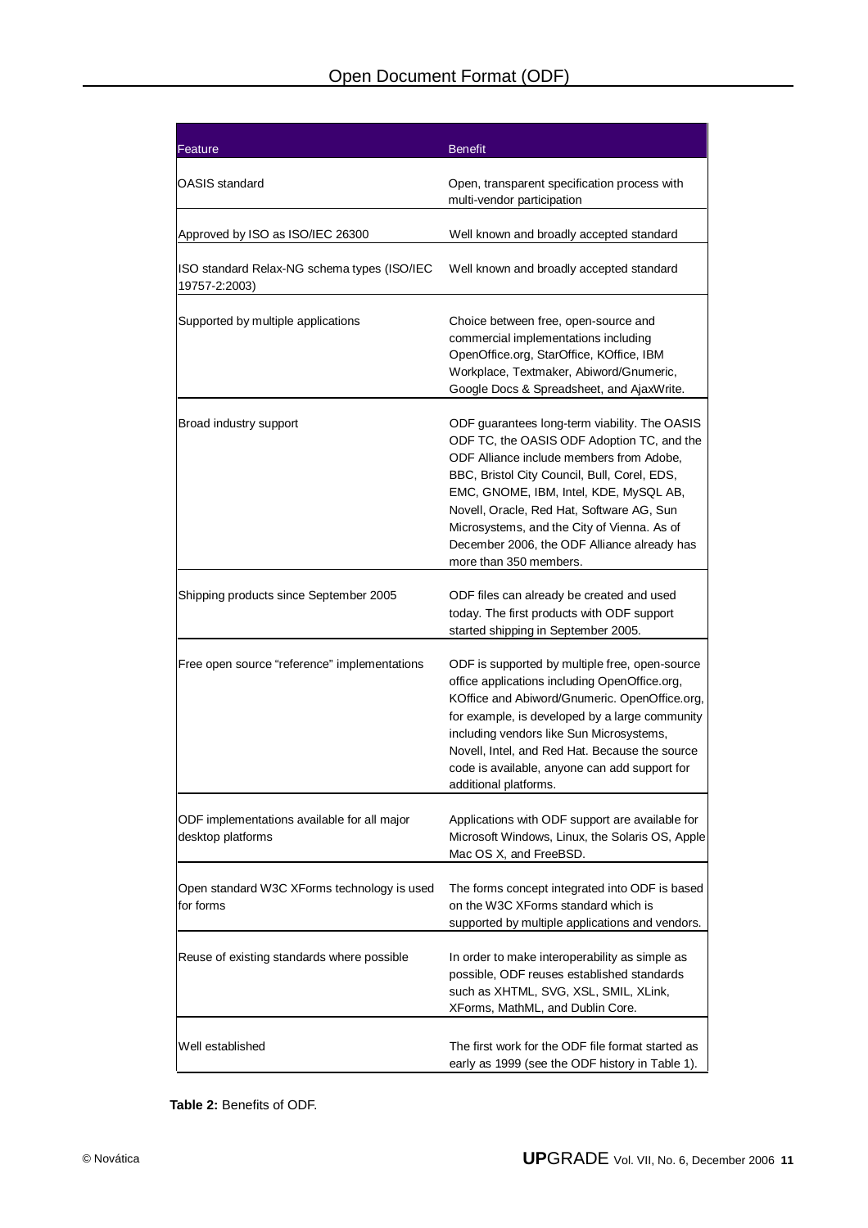| Feature                                                          | <b>Benefit</b>                                                                                                                                                                                                                                                                                                                                                                                         |
|------------------------------------------------------------------|--------------------------------------------------------------------------------------------------------------------------------------------------------------------------------------------------------------------------------------------------------------------------------------------------------------------------------------------------------------------------------------------------------|
| OASIS standard                                                   | Open, transparent specification process with<br>multi-vendor participation                                                                                                                                                                                                                                                                                                                             |
| Approved by ISO as ISO/IEC 26300                                 | Well known and broadly accepted standard                                                                                                                                                                                                                                                                                                                                                               |
| ISO standard Relax-NG schema types (ISO/IEC<br>19757-2:2003)     | Well known and broadly accepted standard                                                                                                                                                                                                                                                                                                                                                               |
| Supported by multiple applications                               | Choice between free, open-source and<br>commercial implementations including<br>OpenOffice.org, StarOffice, KOffice, IBM<br>Workplace, Textmaker, Abiword/Gnumeric,<br>Google Docs & Spreadsheet, and AjaxWrite.                                                                                                                                                                                       |
| Broad industry support                                           | ODF guarantees long-term viability. The OASIS<br>ODF TC, the OASIS ODF Adoption TC, and the<br>ODF Alliance include members from Adobe,<br>BBC, Bristol City Council, Bull, Corel, EDS,<br>EMC, GNOME, IBM, Intel, KDE, MySQL AB,<br>Novell, Oracle, Red Hat, Software AG, Sun<br>Microsystems, and the City of Vienna. As of<br>December 2006, the ODF Alliance already has<br>more than 350 members. |
| Shipping products since September 2005                           | ODF files can already be created and used<br>today. The first products with ODF support<br>started shipping in September 2005.                                                                                                                                                                                                                                                                         |
| Free open source "reference" implementations                     | ODF is supported by multiple free, open-source<br>office applications including OpenOffice.org,<br>KOffice and Abiword/Gnumeric. OpenOffice.org,<br>for example, is developed by a large community<br>including vendors like Sun Microsystems,<br>Novell, Intel, and Red Hat. Because the source<br>code is available, anyone can add support for<br>additional platforms.                             |
| ODF implementations available for all major<br>desktop platforms | Applications with ODF support are available for<br>Microsoft Windows, Linux, the Solaris OS, Apple<br>Mac OS X, and FreeBSD.                                                                                                                                                                                                                                                                           |
| Open standard W3C XForms technology is used<br>for forms         | The forms concept integrated into ODF is based<br>on the W3C XForms standard which is<br>supported by multiple applications and vendors.                                                                                                                                                                                                                                                               |
| Reuse of existing standards where possible                       | In order to make interoperability as simple as<br>possible, ODF reuses established standards<br>such as XHTML, SVG, XSL, SMIL, XLink,<br>XForms, MathML, and Dublin Core.                                                                                                                                                                                                                              |
| Well established                                                 | The first work for the ODF file format started as<br>early as 1999 (see the ODF history in Table 1).                                                                                                                                                                                                                                                                                                   |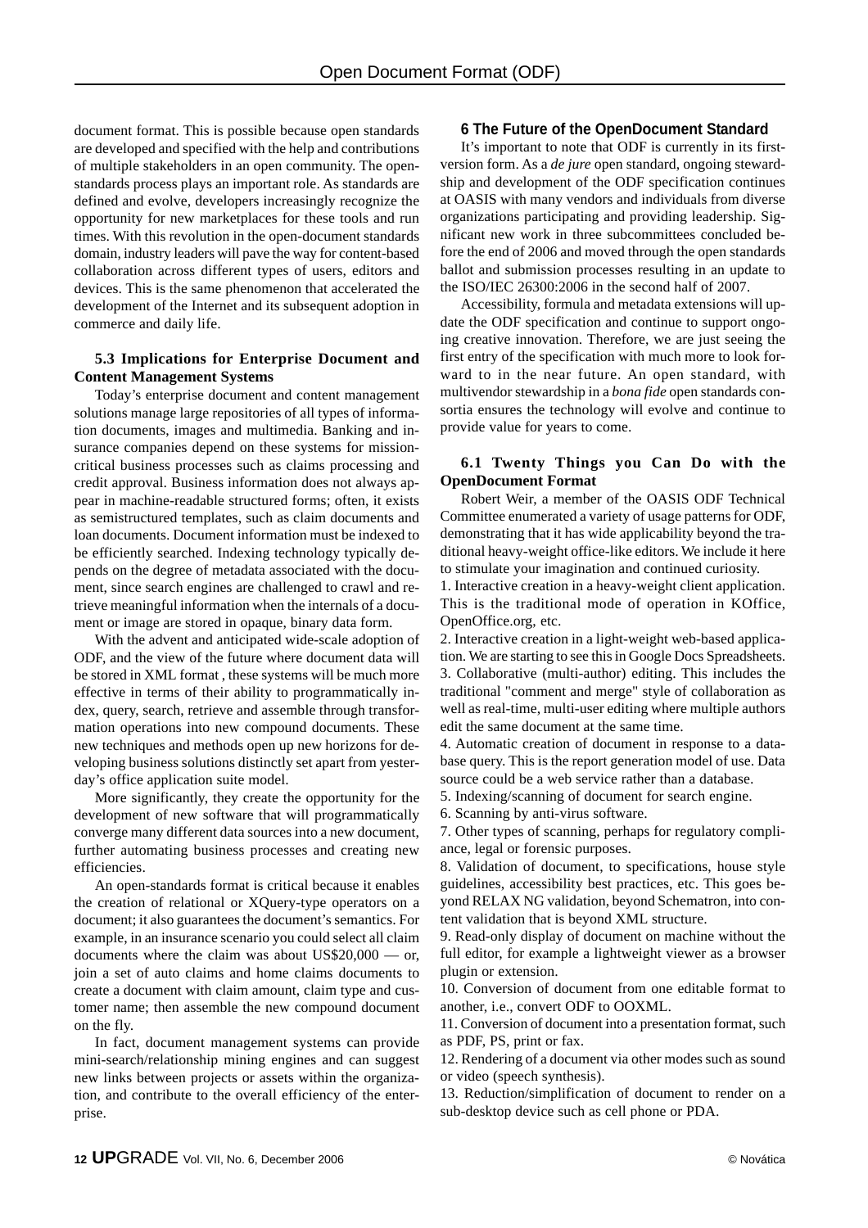document format. This is possible because open standards are developed and specified with the help and contributions of multiple stakeholders in an open community. The openstandards process plays an important role. As standards are defined and evolve, developers increasingly recognize the opportunity for new marketplaces for these tools and run times. With this revolution in the open-document standards domain, industry leaders will pave the way for content-based collaboration across different types of users, editors and devices. This is the same phenomenon that accelerated the development of the Internet and its subsequent adoption in commerce and daily life.

#### **5.3 Implications for Enterprise Document and Content Management Systems**

Today's enterprise document and content management solutions manage large repositories of all types of information documents, images and multimedia. Banking and insurance companies depend on these systems for missioncritical business processes such as claims processing and credit approval. Business information does not always appear in machine-readable structured forms; often, it exists as semistructured templates, such as claim documents and loan documents. Document information must be indexed to be efficiently searched. Indexing technology typically depends on the degree of metadata associated with the document, since search engines are challenged to crawl and retrieve meaningful information when the internals of a document or image are stored in opaque, binary data form.

With the advent and anticipated wide-scale adoption of ODF, and the view of the future where document data will be stored in XML format , these systems will be much more effective in terms of their ability to programmatically index, query, search, retrieve and assemble through transformation operations into new compound documents. These new techniques and methods open up new horizons for developing business solutions distinctly set apart from yesterday's office application suite model.

More significantly, they create the opportunity for the development of new software that will programmatically converge many different data sources into a new document, further automating business processes and creating new efficiencies.

An open-standards format is critical because it enables the creation of relational or XQuery-type operators on a document; it also guarantees the document's semantics. For example, in an insurance scenario you could select all claim documents where the claim was about US\$20,000 — or, join a set of auto claims and home claims documents to create a document with claim amount, claim type and customer name; then assemble the new compound document on the fly.

In fact, document management systems can provide mini-search/relationship mining engines and can suggest new links between projects or assets within the organization, and contribute to the overall efficiency of the enterprise.

#### **6 The Future of the OpenDocument Standard**

It's important to note that ODF is currently in its firstversion form. As a *de jure* open standard, ongoing stewardship and development of the ODF specification continues at OASIS with many vendors and individuals from diverse organizations participating and providing leadership. Significant new work in three subcommittees concluded before the end of 2006 and moved through the open standards ballot and submission processes resulting in an update to the ISO/IEC 26300:2006 in the second half of 2007.

Accessibility, formula and metadata extensions will update the ODF specification and continue to support ongoing creative innovation. Therefore, we are just seeing the first entry of the specification with much more to look forward to in the near future. An open standard, with multivendor stewardship in a *bona fide* open standards consortia ensures the technology will evolve and continue to provide value for years to come.

#### **6.1 Twenty Things you Can Do with the OpenDocument Format**

Robert Weir, a member of the OASIS ODF Technical Committee enumerated a variety of usage patterns for ODF, demonstrating that it has wide applicability beyond the traditional heavy-weight office-like editors. We include it here to stimulate your imagination and continued curiosity.

1. Interactive creation in a heavy-weight client application. This is the traditional mode of operation in KOffice, OpenOffice.org, etc.

2. Interactive creation in a light-weight web-based application. We are starting to see this in Google Docs Spreadsheets. 3. Collaborative (multi-author) editing. This includes the traditional "comment and merge" style of collaboration as well as real-time, multi-user editing where multiple authors edit the same document at the same time.

4. Automatic creation of document in response to a database query. This is the report generation model of use. Data source could be a web service rather than a database.

5. Indexing/scanning of document for search engine.

6. Scanning by anti-virus software.

7. Other types of scanning, perhaps for regulatory compliance, legal or forensic purposes.

8. Validation of document, to specifications, house style guidelines, accessibility best practices, etc. This goes beyond RELAX NG validation, beyond Schematron, into content validation that is beyond XML structure.

9. Read-only display of document on machine without the full editor, for example a lightweight viewer as a browser plugin or extension.

10. Conversion of document from one editable format to another, i.e., convert ODF to OOXML.

11. Conversion of document into a presentation format, such as PDF, PS, print or fax.

12. Rendering of a document via other modes such as sound or video (speech synthesis).

13. Reduction/simplification of document to render on a sub-desktop device such as cell phone or PDA.